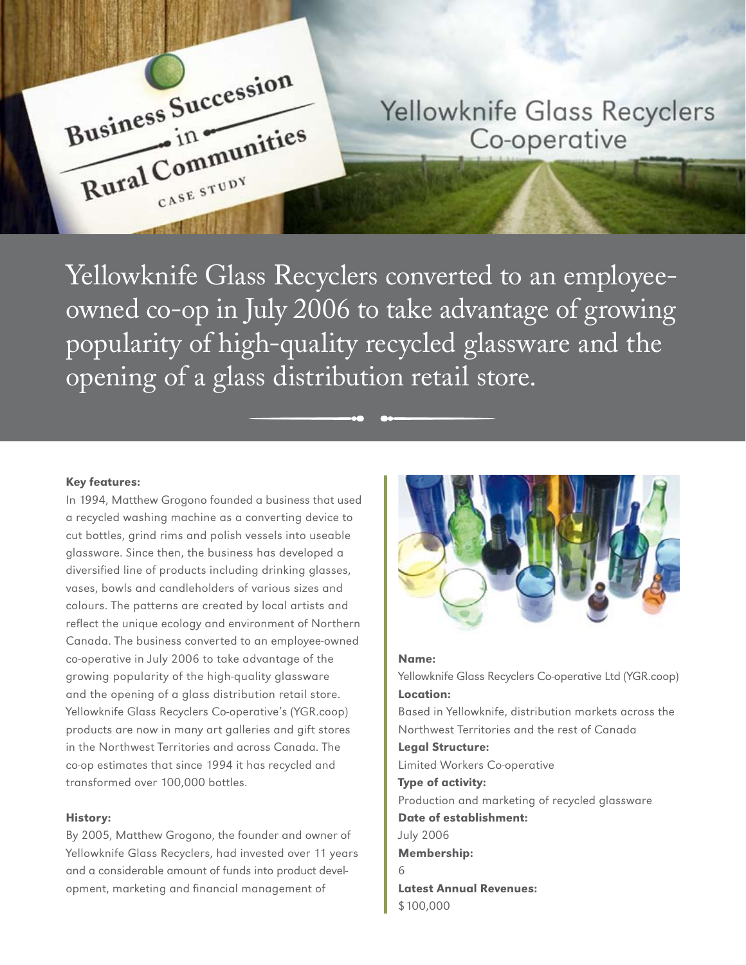

**Yellowknife Glass Recyclers** Co-operative

Yellowknife Glass Recyclers converted to an employeeowned co-op in July 2006 to take advantage of growing popularity of high-quality recycled glassware and the opening of a glass distribution retail store.

#### Key features:

In 1994, Matthew Grogono founded a business that used a recycled washing machine as a converting device to cut bottles, grind rims and polish vessels into useable glassware. Since then, the business has developed a diversified line of products including drinking glasses, vases, bowls and candleholders of various sizes and colours. The patterns are created by local artists and reflect the unique ecology and environment of Northern Canada. The business converted to an employee-owned co-operative in July 2006 to take advantage of the growing popularity of the high-quality glassware and the opening of a glass distribution retail store. Yellowknife Glass Recyclers Co-operative's (YGR.coop) products are now in many art galleries and gift stores in the Northwest Territories and across Canada. The co-op estimates that since 1994 it has recycled and transformed over 100,000 bottles.

#### History:

By 2005, Matthew Grogono, the founder and owner of Yellowknife Glass Recyclers, had invested over 11 years and a considerable amount of funds into product development, marketing and financial management of



#### Name:

Yellowknife Glass Recyclers Co-operative Ltd (YGR.coop) Location: Based in Yellowknife, distribution markets across the Northwest Territories and the rest of Canada Legal Structure: Limited Workers Co-operative Type of activity: Production and marketing of recycled glassware Date of establishment: July 2006 Membership: 6 Latest Annual Revenues: \$100,000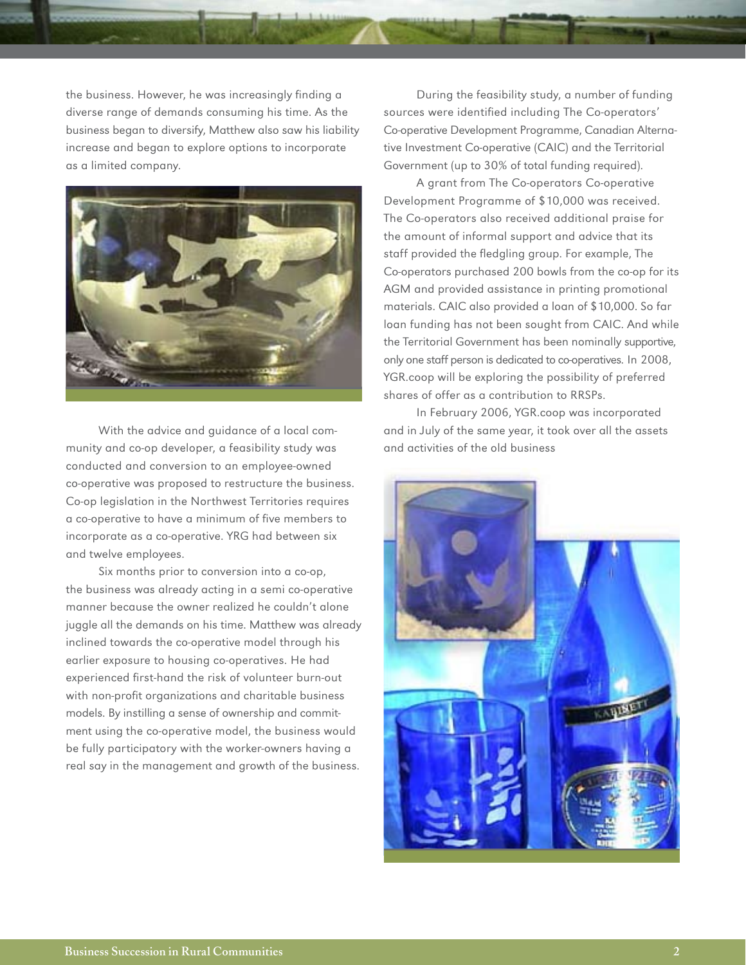the business. However, he was increasingly finding a diverse range of demands consuming his time. As the business began to diversify, Matthew also saw his liability increase and began to explore options to incorporate as a limited company.



With the advice and guidance of a local community and co-op developer, a feasibility study was conducted and conversion to an employee-owned co-operative was proposed to restructure the business. Co-op legislation in the Northwest Territories requires a co-operative to have a minimum of five members to incorporate as a co-operative. YRG had between six and twelve employees.

Six months prior to conversion into a co-op, the business was already acting in a semi co-operative manner because the owner realized he couldn't alone juggle all the demands on his time. Matthew was already inclined towards the co-operative model through his earlier exposure to housing co-operatives. He had experienced first-hand the risk of volunteer burn-out with non-profit organizations and charitable business models. By instilling a sense of ownership and commitment using the co-operative model, the business would be fully participatory with the worker-owners having a real say in the management and growth of the business.

During the feasibility study, a number of funding sources were identified including The Co-operators' Co-operative Development Programme, Canadian Alternative Investment Co-operative (CAIC) and the Territorial Government (up to 30% of total funding required).

A grant from The Co-operators Co-operative Development Programme of \$10,000 was received. The Co-operators also received additional praise for the amount of informal support and advice that its staff provided the fledgling group. For example, The Co-operators purchased 200 bowls from the co-op for its AGM and provided assistance in printing promotional materials. CAIC also provided a loan of \$10,000. So far loan funding has not been sought from CAIC. And while the Territorial Government has been nominally supportive, only one staff person is dedicated to co-operatives. In 2008, YGR.coop will be exploring the possibility of preferred shares of offer as a contribution to RRSPs.

In February 2006, YGR.coop was incorporated and in July of the same year, it took over all the assets and activities of the old business

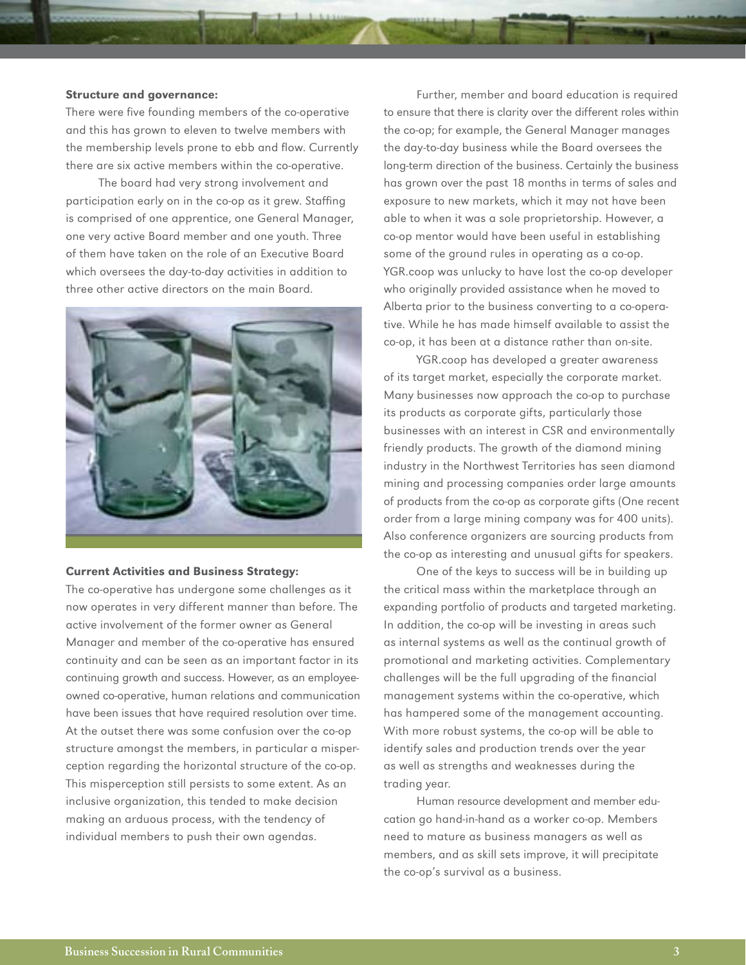## Structure and governance:

There were five founding members of the co-operative and this has grown to eleven to twelve members with the membership levels prone to ebb and flow. Currently there are six active members within the co-operative.

The board had very strong involvement and participation early on in the co-op as it grew. Staffing is comprised of one apprentice, one General Manager, one very active Board member and one youth. Three of them have taken on the role of an Executive Board which oversees the day-to-day activities in addition to three other active directors on the main Board.



## Current Activities and Business Strategy:

The co-operative has undergone some challenges as it now operates in very different manner than before. The active involvement of the former owner as General Manager and member of the co-operative has ensured continuity and can be seen as an important factor in its continuing growth and success. However, as an employeeowned co-operative, human relations and communication have been issues that have required resolution over time. At the outset there was some confusion over the co-op structure amongst the members, in particular a misperception regarding the horizontal structure of the co-op. This misperception still persists to some extent. As an inclusive organization, this tended to make decision making an arduous process, with the tendency of individual members to push their own agendas.

Further, member and board education is required to ensure that there is clarity over the different roles within the co-op; for example, the General Manager manages the day-to-day business while the Board oversees the long-term direction of the business. Certainly the business has grown over the past 18 months in terms of sales and exposure to new markets, which it may not have been able to when it was a sole proprietorship. However, a co-op mentor would have been useful in establishing some of the ground rules in operating as a co-op. YGR.coop was unlucky to have lost the co-op developer who originally provided assistance when he moved to Alberta prior to the business converting to a co-operative. While he has made himself available to assist the co-op, it has been at a distance rather than on-site.

YGR.coop has developed a greater awareness of its target market, especially the corporate market. Many businesses now approach the co-op to purchase its products as corporate gifts, particularly those businesses with an interest in CSR and environmentally friendly products. The growth of the diamond mining industry in the Northwest Territories has seen diamond mining and processing companies order large amounts of products from the co-op as corporate gifts (One recent order from a large mining company was for 400 units). Also conference organizers are sourcing products from the co-op as interesting and unusual gifts for speakers.

One of the keys to success will be in building up the critical mass within the marketplace through an expanding portfolio of products and targeted marketing. In addition, the co-op will be investing in areas such as internal systems as well as the continual growth of promotional and marketing activities. Complementary challenges will be the full upgrading of the financial management systems within the co-operative, which has hampered some of the management accounting. With more robust systems, the co-op will be able to identify sales and production trends over the year as well as strengths and weaknesses during the trading year.

Human resource development and member education go hand-in-hand as a worker co-op. Members need to mature as business managers as well as members, and as skill sets improve, it will precipitate the co-op's survival as a business.